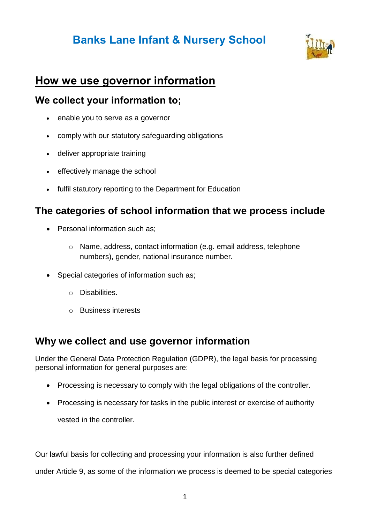# **Banks Lane Infant & Nursery School**



## **How we use governor information**

#### **We collect your information to;**

- enable you to serve as a governor
- comply with our statutory safeguarding obligations
- deliver appropriate training
- effectively manage the school
- fulfil statutory reporting to the Department for Education

#### **The categories of school information that we process include**

- Personal information such as:
	- o Name, address, contact information (e.g. email address, telephone numbers), gender, national insurance number.
- Special categories of information such as;
	- o Disabilities.
	- o Business interests

#### **Why we collect and use governor information**

Under the General Data Protection Regulation (GDPR), the legal basis for processing personal information for general purposes are:

- Processing is necessary to comply with the legal obligations of the controller.
- Processing is necessary for tasks in the public interest or exercise of authority vested in the controller.

Our lawful basis for collecting and processing your information is also further defined

under Article 9, as some of the information we process is deemed to be special categories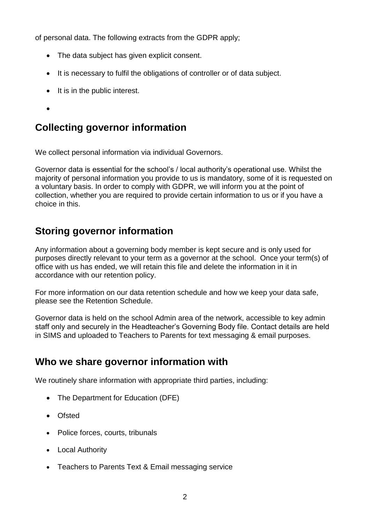of personal data. The following extracts from the GDPR apply;

- The data subject has given explicit consent.
- It is necessary to fulfil the obligations of controller or of data subject.
- $\bullet$  It is in the public interest.
- $\bullet$

### **Collecting governor information**

We collect personal information via individual Governors.

Governor data is essential for the school's / local authority's operational use. Whilst the majority of personal information you provide to us is mandatory, some of it is requested on a voluntary basis. In order to comply with GDPR, we will inform you at the point of collection, whether you are required to provide certain information to us or if you have a choice in this.

### **Storing governor information**

Any information about a governing body member is kept secure and is only used for purposes directly relevant to your term as a governor at the school. Once your term(s) of office with us has ended, we will retain this file and delete the information in it in accordance with our retention policy.

For more information on our data retention schedule and how we keep your data safe, please see the Retention Schedule.

Governor data is held on the school Admin area of the network, accessible to key admin staff only and securely in the Headteacher's Governing Body file. Contact details are held in SIMS and uploaded to Teachers to Parents for text messaging & email purposes.

#### **Who we share governor information with**

We routinely share information with appropriate third parties, including:

- The Department for Education (DFE)
- Ofsted
- Police forces, courts, tribunals
- Local Authority
- Teachers to Parents Text & Email messaging service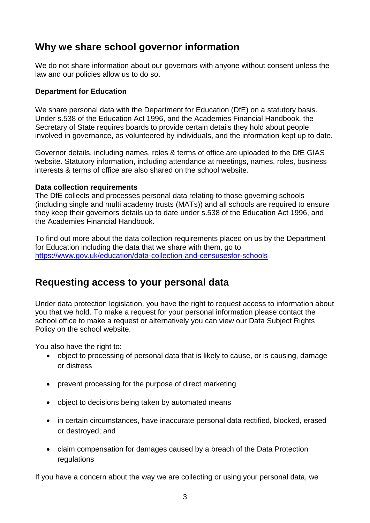#### **Why we share school governor information**

We do not share information about our governors with anyone without consent unless the law and our policies allow us to do so.

#### **Department for Education**

We share personal data with the Department for Education (DfE) on a statutory basis. Under s.538 of the Education Act 1996, and the Academies Financial Handbook, the Secretary of State requires boards to provide certain details they hold about people involved in governance, as volunteered by individuals, and the information kept up to date.

Governor details, including names, roles & terms of office are uploaded to the DfE GIAS website. Statutory information, including attendance at meetings, names, roles, business interests & terms of office are also shared on the school website.

#### **Data collection requirements**

The DfE collects and processes personal data relating to those governing schools (including single and multi academy trusts (MATs)) and all schools are required to ensure they keep their governors details up to date under s.538 of the Education Act 1996, and the Academies Financial Handbook.

To find out more about the data collection requirements placed on us by the Department for Education including the data that we share with them, go to <https://www.gov.uk/education/data-collection-and-censusesfor-schools>

#### **Requesting access to your personal data**

Under data protection legislation, you have the right to request access to information about you that we hold. To make a request for your personal information please contact the school office to make a request or alternatively you can view our Data Subject Rights Policy on the school website.

You also have the right to:

- object to processing of personal data that is likely to cause, or is causing, damage or distress
- prevent processing for the purpose of direct marketing
- object to decisions being taken by automated means
- in certain circumstances, have inaccurate personal data rectified, blocked, erased or destroyed; and
- claim compensation for damages caused by a breach of the Data Protection regulations

If you have a concern about the way we are collecting or using your personal data, we